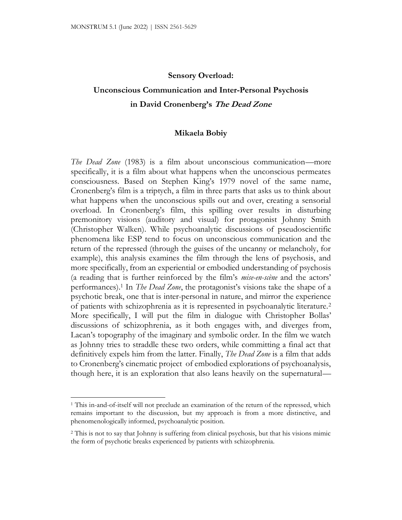#### **Sensory Overload:**

# **Unconscious Communication and Inter-Personal Psychosis in David Cronenberg's The Dead Zone**

#### **Mikaela Bobiy**

*The Dead Zone* (1983) is a film about unconscious communication—more specifically, it is a film about what happens when the unconscious permeates consciousness. Based on Stephen King's 1979 novel of the same name, Cronenberg's film is a triptych, a film in three parts that asks us to think about what happens when the unconscious spills out and over, creating a sensorial overload. In Cronenberg's film, this spilling over results in disturbing premonitory visions (auditory and visual) for protagonist Johnny Smith (Christopher Walken). While psychoanalytic discussions of pseudoscientific phenomena like ESP tend to focus on unconscious communication and the return of the repressed (through the guises of the uncanny or melancholy, for example), this analysis examines the film through the lens of psychosis, and more specifically, from an experiential or embodied understanding of psychosis (a reading that is further reinforced by the film's *mise-en-scène* and the actors' performances).<sup>1</sup> In *The Dead Zone*, the protagonist's visions take the shape of a psychotic break, one that is inter-personal in nature, and mirror the experience of patients with schizophrenia as it is represented in psychoanalytic literature.<sup>2</sup> More specifically, I will put the film in dialogue with Christopher Bollas' discussions of schizophrenia, as it both engages with, and diverges from, Lacan's topography of the imaginary and symbolic order. In the film we watch as Johnny tries to straddle these two orders, while committing a final act that definitively expels him from the latter. Finally, *The Dead Zone* is a film that adds to Cronenberg's cinematic project of embodied explorations of psychoanalysis, though here, it is an exploration that also leans heavily on the supernatural—

<sup>1</sup> This in-and-of-itself will not preclude an examination of the return of the repressed, which remains important to the discussion, but my approach is from a more distinctive, and phenomenologically informed, psychoanalytic position.

<sup>2</sup> This is not to say that Johnny is suffering from clinical psychosis, but that his visions mimic the form of psychotic breaks experienced by patients with schizophrenia.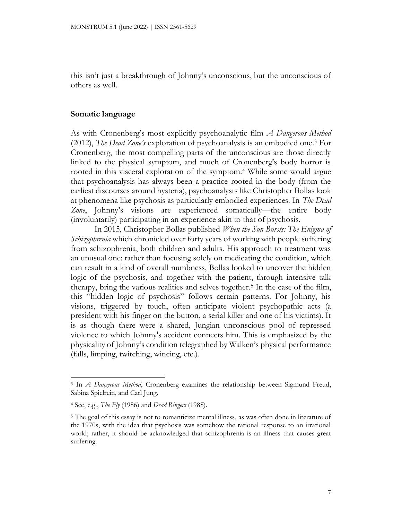this isn't just a breakthrough of Johnny's unconscious, but the unconscious of others as well.

### **Somatic language**

As with Cronenberg's most explicitly psychoanalytic film *A Dangerous Method* (2012), *The Dead Zone's* exploration of psychoanalysis is an embodied one.<sup>3</sup> For Cronenberg, the most compelling parts of the unconscious are those directly linked to the physical symptom, and much of Cronenberg's body horror is rooted in this visceral exploration of the symptom.<sup>4</sup> While some would argue that psychoanalysis has always been a practice rooted in the body (from the earliest discourses around hysteria), psychoanalysts like Christopher Bollas look at phenomena like psychosis as particularly embodied experiences. In *The Dead Zone*, Johnny's visions are experienced somatically—the entire body (involuntarily) participating in an experience akin to that of psychosis.

In 2015, Christopher Bollas published *When the Sun Bursts: The Enigma of Schizophrenia* which chronicled over forty years of working with people suffering from schizophrenia, both children and adults. His approach to treatment was an unusual one: rather than focusing solely on medicating the condition, which can result in a kind of overall numbness, Bollas looked to uncover the hidden logic of the psychosis, and together with the patient, through intensive talk therapy, bring the various realities and selves together.<sup>5</sup> In the case of the film, this "hidden logic of psychosis" follows certain patterns. For Johnny, his visions, triggered by touch, often anticipate violent psychopathic acts (a president with his finger on the button, a serial killer and one of his victims). It is as though there were a shared, Jungian unconscious pool of repressed violence to which Johnny's accident connects him. This is emphasized by the physicality of Johnny's condition telegraphed by Walken's physical performance (falls, limping, twitching, wincing, etc.).

<sup>3</sup> In *A Dangerous Method*, Cronenberg examines the relationship between Sigmund Freud, Sabina Spielrein, and Carl Jung.

<sup>4</sup> See, e.g., *The Fly* (1986) and *Dead Ringers* (1988).

<sup>&</sup>lt;sup>5</sup> The goal of this essay is not to romanticize mental illness, as was often done in literature of the 1970s, with the idea that psychosis was somehow the rational response to an irrational world; rather, it should be acknowledged that schizophrenia is an illness that causes great suffering.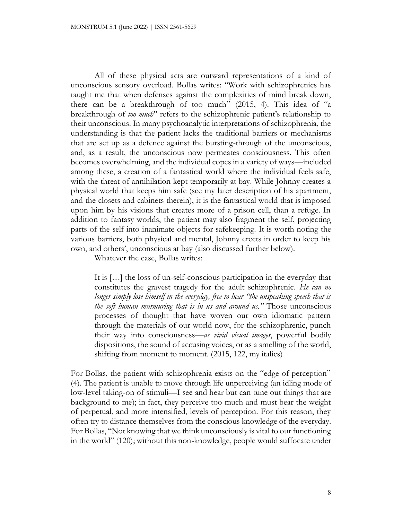All of these physical acts are outward representations of a kind of unconscious sensory overload. Bollas writes: "Work with schizophrenics has taught me that when defenses against the complexities of mind break down, there can be a breakthrough of too much" (2015, 4). This idea of "a breakthrough of *too much*" refers to the schizophrenic patient's relationship to their unconscious. In many psychoanalytic interpretations of schizophrenia, the understanding is that the patient lacks the traditional barriers or mechanisms that are set up as a defence against the bursting-through of the unconscious, and, as a result, the unconscious now permeates consciousness. This often becomes overwhelming, and the individual copes in a variety of ways—included among these, a creation of a fantastical world where the individual feels safe, with the threat of annihilation kept temporarily at bay. While Johnny creates a physical world that keeps him safe (see my later description of his apartment, and the closets and cabinets therein), it is the fantastical world that is imposed upon him by his visions that creates more of a prison cell, than a refuge. In addition to fantasy worlds, the patient may also fragment the self, projecting parts of the self into inanimate objects for safekeeping. It is worth noting the various barriers, both physical and mental, Johnny erects in order to keep his own, and others', unconscious at bay (also discussed further below).

Whatever the case, Bollas writes:

It is […] the loss of un-self-conscious participation in the everyday that constitutes the gravest tragedy for the adult schizophrenic. *He can no longer simply lose himself in the everyday, free to hear "the unspeaking speech that is the soft human murmuring that is in us and around us."* Those unconscious processes of thought that have woven our own idiomatic pattern through the materials of our world now, for the schizophrenic, punch their way into consciousness—*as vivid visual images*, powerful bodily dispositions, the sound of accusing voices, or as a smelling of the world, shifting from moment to moment. (2015, 122, my italics)

For Bollas, the patient with schizophrenia exists on the "edge of perception" (4). The patient is unable to move through life unperceiving (an idling mode of low-level taking-on of stimuli—I see and hear but can tune out things that are background to me); in fact, they perceive too much and must bear the weight of perpetual, and more intensified, levels of perception. For this reason, they often try to distance themselves from the conscious knowledge of the everyday. For Bollas, "Not knowing that we think unconsciously is vital to our functioning in the world" (120); without this non-knowledge, people would suffocate under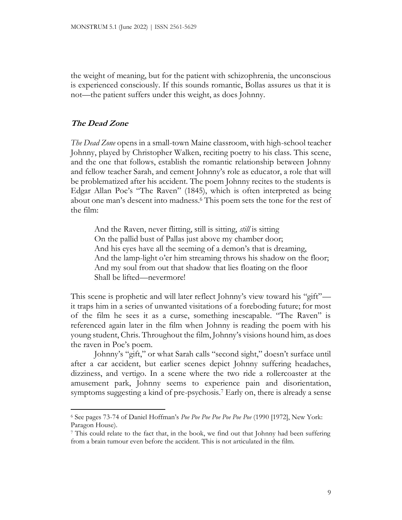the weight of meaning, but for the patient with schizophrenia, the unconscious is experienced consciously. If this sounds romantic, Bollas assures us that it is not—the patient suffers under this weight, as does Johnny.

## **The Dead Zone**

*The Dead Zone* opens in a small-town Maine classroom, with high-school teacher Johnny, played by Christopher Walken, reciting poetry to his class. This scene, and the one that follows, establish the romantic relationship between Johnny and fellow teacher Sarah, and cement Johnny's role as educator, a role that will be problematized after his accident. The poem Johnny recites to the students is Edgar Allan Poe's "The Raven" (1845), which is often interpreted as being about one man's descent into madness.<sup>6</sup> This poem sets the tone for the rest of the film:

And the Raven, never flitting, still is sitting, *still* is sitting On the pallid bust of Pallas just above my chamber door; And his eyes have all the seeming of a demon's that is dreaming, And the lamp-light o'er him streaming throws his shadow on the floor; And my soul from out that shadow that lies floating on the floor Shall be lifted—nevermore!

This scene is prophetic and will later reflect Johnny's view toward his "gift" it traps him in a series of unwanted visitations of a foreboding future; for most of the film he sees it as a curse, something inescapable. "The Raven" is referenced again later in the film when Johnny is reading the poem with his young student, Chris. Throughout the film, Johnny's visions hound him, as does the raven in Poe's poem.

Johnny's "gift," or what Sarah calls "second sight," doesn't surface until after a car accident, but earlier scenes depict Johnny suffering headaches, dizziness, and vertigo. In a scene where the two ride a rollercoaster at the amusement park, Johnny seems to experience pain and disorientation, symptoms suggesting a kind of pre-psychosis.<sup>7</sup> Early on, there is already a sense

<sup>6</sup> See pages 73-74 of Daniel Hoffman's *Poe Poe Poe Poe Poe Poe Poe* (1990 [1972], New York: Paragon House).

<sup>7</sup> This could relate to the fact that, in the book, we find out that Johnny had been suffering from a brain tumour even before the accident. This is not articulated in the film.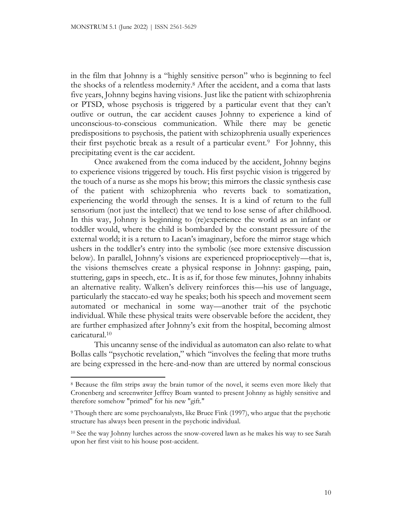in the film that Johnny is a "highly sensitive person" who is beginning to feel the shocks of a relentless modernity.<sup>8</sup> After the accident, and a coma that lasts five years, Johnny begins having visions. Just like the patient with schizophrenia or PTSD, whose psychosis is triggered by a particular event that they can't outlive or outrun, the car accident causes Johnny to experience a kind of unconscious-to-conscious communication. While there may be genetic predispositions to psychosis, the patient with schizophrenia usually experiences their first psychotic break as a result of a particular event.<sup>9</sup> For Johnny, this precipitating event is the car accident.

Once awakened from the coma induced by the accident, Johnny begins to experience visions triggered by touch. His first psychic vision is triggered by the touch of a nurse as she mops his brow; this mirrors the classic synthesis case of the patient with schizophrenia who reverts back to somatization, experiencing the world through the senses. It is a kind of return to the full sensorium (not just the intellect) that we tend to lose sense of after childhood. In this way, Johnny is beginning to (re)experience the world as an infant or toddler would, where the child is bombarded by the constant pressure of the external world; it is a return to Lacan's imaginary, before the mirror stage which ushers in the toddler's entry into the symbolic (see more extensive discussion below). In parallel, Johnny's visions are experienced proprioceptively—that is, the visions themselves create a physical response in Johnny: gasping, pain, stuttering, gaps in speech, etc.. It is as if, for those few minutes, Johnny inhabits an alternative reality. Walken's delivery reinforces this—his use of language, particularly the staccato-ed way he speaks; both his speech and movement seem automated or mechanical in some way—another trait of the psychotic individual. While these physical traits were observable before the accident, they are further emphasized after Johnny's exit from the hospital, becoming almost caricatural.<sup>10</sup>

This uncanny sense of the individual as automaton can also relate to what Bollas calls "psychotic revelation," which "involves the feeling that more truths are being expressed in the here-and-now than are uttered by normal conscious

<sup>8</sup> Because the film strips away the brain tumor of the novel, it seems even more likely that Cronenberg and screenwriter Jeffrey Boam wanted to present Johnny as highly sensitive and therefore somehow "primed" for his new "gift."

<sup>9</sup> Though there are some psychoanalysts, like Bruce Fink (1997), who argue that the psychotic structure has always been present in the psychotic individual.

<sup>10</sup> See the way Johnny lurches across the snow-covered lawn as he makes his way to see Sarah upon her first visit to his house post-accident.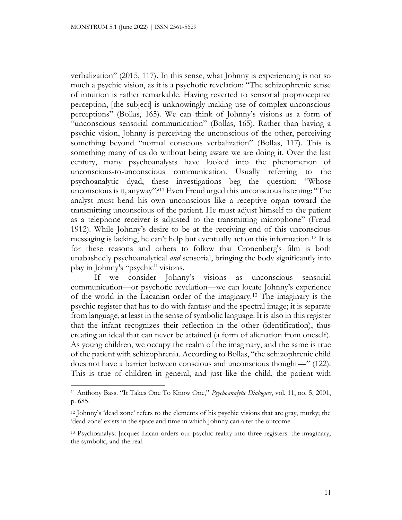verbalization" (2015, 117). In this sense, what Johnny is experiencing is not so much a psychic vision, as it is a psychotic revelation: "The schizophrenic sense of intuition is rather remarkable. Having reverted to sensorial proprioceptive perception, [the subject] is unknowingly making use of complex unconscious perceptions" (Bollas, 165). We can think of Johnny's visions as a form of "unconscious sensorial communication" (Bollas, 165). Rather than having a psychic vision, Johnny is perceiving the unconscious of the other, perceiving something beyond "normal conscious verbalization" (Bollas, 117). This is something many of us do without being aware we are doing it. Over the last century, many psychoanalysts have looked into the phenomenon of unconscious-to-unconscious communication. Usually referring to the psychoanalytic dyad, these investigations beg the question: "Whose unconscious is it, anyway"?<sup>11</sup> Even Freud urged this unconscious listening: "The analyst must bend his own unconscious like a receptive organ toward the transmitting unconscious of the patient. He must adjust himself to the patient as a telephone receiver is adjusted to the transmitting microphone" (Freud 1912). While Johnny's desire to be at the receiving end of this unconscious messaging is lacking, he can't help but eventually act on this information.<sup>12</sup> It is for these reasons and others to follow that Cronenberg's film is both unabashedly psychoanalytical *and* sensorial, bringing the body significantly into play in Johnny's "psychic" visions.

If we consider Johnny's visions as unconscious sensorial communication—or psychotic revelation—we can locate Johnny's experience of the world in the Lacanian order of the imaginary.<sup>13</sup> The imaginary is the psychic register that has to do with fantasy and the spectral image; it is separate from language, at least in the sense of symbolic language. It is also in this register that the infant recognizes their reflection in the other (identification), thus creating an ideal that can never be attained (a form of alienation from oneself). As young children, we occupy the realm of the imaginary, and the same is true of the patient with schizophrenia. According to Bollas, "the schizophrenic child does not have a barrier between conscious and unconscious thought—" (122). This is true of children in general, and just like the child, the patient with

<sup>11</sup> Anthony Bass. "It Takes One To Know One," *Psychoanalytic Dialogues*, vol. 11, no. 5, 2001, p. 685.

<sup>12</sup> Johnny's 'dead zone' refers to the elements of his psychic visions that are gray, murky; the 'dead zone' exists in the space and time in which Johnny can alter the outcome.

<sup>13</sup> Psychoanalyst Jacques Lacan orders our psychic reality into three registers: the imaginary, the symbolic, and the real.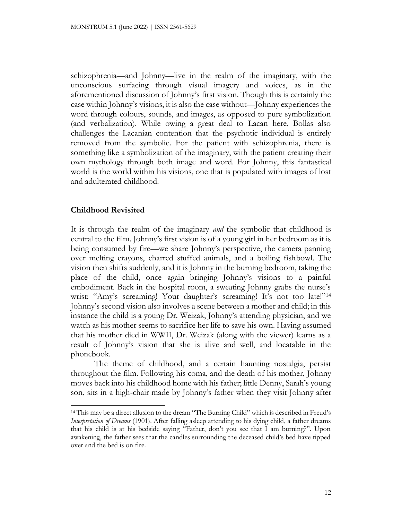schizophrenia—and Johnny—live in the realm of the imaginary, with the unconscious surfacing through visual imagery and voices, as in the aforementioned discussion of Johnny's first vision. Though this is certainly the case within Johnny's visions, it is also the case without—Johnny experiences the word through colours, sounds, and images, as opposed to pure symbolization (and verbalization). While owing a great deal to Lacan here, Bollas also challenges the Lacanian contention that the psychotic individual is entirely removed from the symbolic. For the patient with schizophrenia, there is something like a symbolization of the imaginary, with the patient creating their own mythology through both image and word. For Johnny, this fantastical world is the world within his visions, one that is populated with images of lost and adulterated childhood.

## **Childhood Revisited**

It is through the realm of the imaginary *and* the symbolic that childhood is central to the film. Johnny's first vision is of a young girl in her bedroom as it is being consumed by fire—we share Johnny's perspective, the camera panning over melting crayons, charred stuffed animals, and a boiling fishbowl. The vision then shifts suddenly, and it is Johnny in the burning bedroom, taking the place of the child, once again bringing Johnny's visions to a painful embodiment. Back in the hospital room, a sweating Johnny grabs the nurse's wrist: "Amy's screaming! Your daughter's screaming! It's not too late!"<sup>14</sup> Johnny's second vision also involves a scene between a mother and child; in this instance the child is a young Dr. Weizak, Johnny's attending physician, and we watch as his mother seems to sacrifice her life to save his own. Having assumed that his mother died in WWII, Dr. Weizak (along with the viewer) learns as a result of Johnny's vision that she is alive and well, and locatable in the phonebook.

The theme of childhood, and a certain haunting nostalgia, persist throughout the film. Following his coma, and the death of his mother, Johnny moves back into his childhood home with his father; little Denny, Sarah's young son, sits in a high-chair made by Johnny's father when they visit Johnny after

<sup>14</sup> This may be a direct allusion to the dream "The Burning Child" which is described in Freud's *Interpretation of Dreams* (1901). After falling asleep attending to his dying child, a father dreams that his child is at his bedside saying "Father, don't you see that I am burning?". Upon awakening, the father sees that the candles surrounding the deceased child's bed have tipped over and the bed is on fire.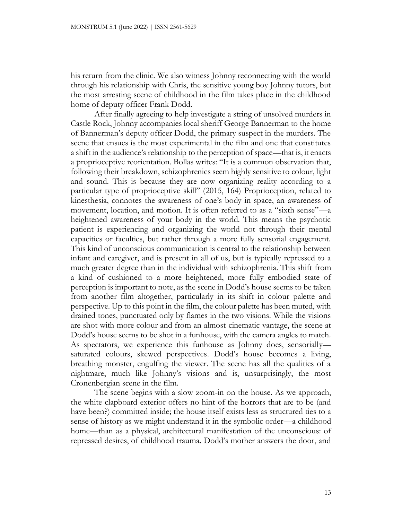his return from the clinic. We also witness Johnny reconnecting with the world through his relationship with Chris, the sensitive young boy Johnny tutors, but the most arresting scene of childhood in the film takes place in the childhood home of deputy officer Frank Dodd.

After finally agreeing to help investigate a string of unsolved murders in Castle Rock, Johnny accompanies local sheriff George Bannerman to the home of Bannerman's deputy officer Dodd, the primary suspect in the murders. The scene that ensues is the most experimental in the film and one that constitutes a shift in the audience's relationship to the perception of space—that is, it enacts a proprioceptive reorientation. Bollas writes: "It is a common observation that, following their breakdown, schizophrenics seem highly sensitive to colour, light and sound. This is because they are now organizing reality according to a particular type of proprioceptive skill" (2015, 164) Proprioception, related to kinesthesia, connotes the awareness of one's body in space, an awareness of movement, location, and motion. It is often referred to as a "sixth sense"—a heightened awareness of your body in the world. This means the psychotic patient is experiencing and organizing the world not through their mental capacities or faculties, but rather through a more fully sensorial engagement. This kind of unconscious communication is central to the relationship between infant and caregiver, and is present in all of us, but is typically repressed to a much greater degree than in the individual with schizophrenia. This shift from a kind of cushioned to a more heightened, more fully embodied state of perception is important to note, as the scene in Dodd's house seems to be taken from another film altogether, particularly in its shift in colour palette and perspective. Up to this point in the film, the colour palette has been muted, with drained tones, punctuated only by flames in the two visions. While the visions are shot with more colour and from an almost cinematic vantage, the scene at Dodd's house seems to be shot in a funhouse, with the camera angles to match. As spectators, we experience this funhouse as Johnny does, sensorially saturated colours, skewed perspectives. Dodd's house becomes a living, breathing monster, engulfing the viewer. The scene has all the qualities of a nightmare, much like Johnny's visions and is, unsurprisingly, the most Cronenbergian scene in the film.

The scene begins with a slow zoom-in on the house. As we approach, the white clapboard exterior offers no hint of the horrors that are to be (and have been?) committed inside; the house itself exists less as structured ties to a sense of history as we might understand it in the symbolic order—a childhood home—than as a physical, architectural manifestation of the unconscious: of repressed desires, of childhood trauma. Dodd's mother answers the door, and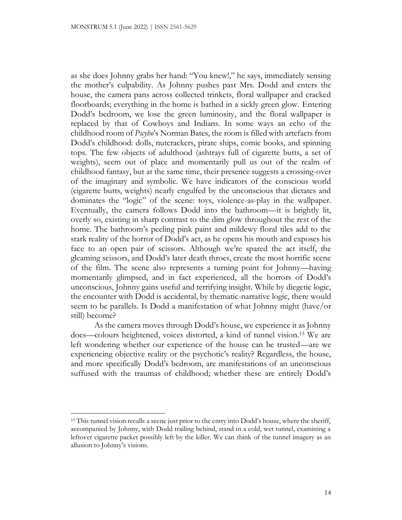as she does Johnny grabs her hand: "You knew!," he says, immediately sensing the mother's culpability. As Johnny pushes past Mrs. Dodd and enters the house, the camera pans across collected trinkets, floral wallpaper and cracked floorboards; everything in the home is bathed in a sickly green glow. Entering Dodd's bedroom, we lose the green luminosity, and the floral wallpaper is replaced by that of Cowboys and Indians. In some ways an echo of the childhood room of *Pscyho*'s Norman Bates, the room is filled with artefacts from Dodd's childhood: dolls, nutcrackers, pirate ships, comic books, and spinning tops. The few objects of adulthood (ashtrays full of cigarette butts, a set of weights), seem out of place and momentarily pull us out of the realm of childhood fantasy, but at the same time, their presence suggests a crossing-over of the imaginary and symbolic. We have indicators of the conscious world (cigarette butts, weights) nearly engulfed by the unconscious that dictates and dominates the "logic" of the scene: toys, violence-as-play in the wallpaper. Eventually, the camera follows Dodd into the bathroom—it is brightly lit, overly so, existing in sharp contrast to the dim glow throughout the rest of the home. The bathroom's peeling pink paint and mildewy floral tiles add to the stark reality of the horror of Dodd's act, as he opens his mouth and exposes his face to an open pair of scissors. Although we're spared the act itself, the gleaming scissors, and Dodd's later death throes, create the most horrific scene of the film. The scene also represents a turning point for Johnny—having momentarily glimpsed, and in fact experienced, all the horrors of Dodd's unconscious, Johnny gains useful and terrifying insight. While by diegetic logic, the encounter with Dodd is accidental, by thematic-narrative logic, there would seem to be parallels. Is Dodd a manifestation of what Johnny might (have/or still) become?

As the camera moves through Dodd's house, we experience it as Johnny does—colours heightened, voices distorted, a kind of tunnel vision.<sup>15</sup> We are left wondering whether our experience of the house can be trusted—are we experiencing objective reality or the psychotic's reality? Regardless, the house, and more specifically Dodd's bedroom, are manifestations of an unconscious suffused with the traumas of childhood; whether these are entirely Dodd's

<sup>&</sup>lt;sup>15</sup> This tunnel vision recalls a scene just prior to the entry into Dodd's house, where the sheriff, accompanied by Johnny, with Dodd trailing behind, stand in a cold, wet tunnel, examining a leftover cigarette packet possibly left by the killer. We can think of the tunnel imagery as an allusion to Johnny's visions.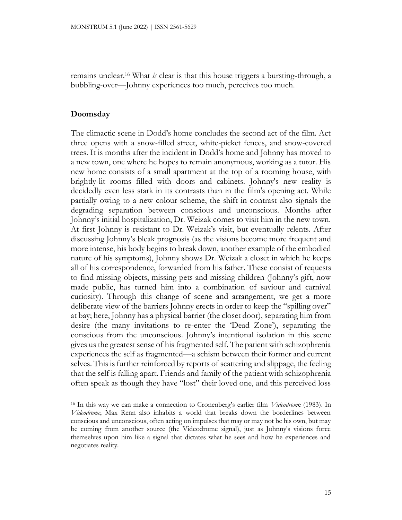remains unclear.<sup>16</sup> What *is* clear is that this house triggers a bursting-through, a bubbling-over—Johnny experiences too much, perceives too much.

## **Doomsday**

The climactic scene in Dodd's home concludes the second act of the film. Act three opens with a snow-filled street, white-picket fences, and snow-covered trees. It is months after the incident in Dodd's home and Johnny has moved to a new town, one where he hopes to remain anonymous, working as a tutor. His new home consists of a small apartment at the top of a rooming house, with brightly-lit rooms filled with doors and cabinets. Johnny's new reality is decidedly even less stark in its contrasts than in the film's opening act. While partially owing to a new colour scheme, the shift in contrast also signals the degrading separation between conscious and unconscious. Months after Johnny's initial hospitalization, Dr. Weizak comes to visit him in the new town. At first Johnny is resistant to Dr. Weizak's visit, but eventually relents. After discussing Johnny's bleak prognosis (as the visions become more frequent and more intense, his body begins to break down, another example of the embodied nature of his symptoms), Johnny shows Dr. Weizak a closet in which he keeps all of his correspondence, forwarded from his father. These consist of requests to find missing objects, missing pets and missing children (Johnny's gift, now made public, has turned him into a combination of saviour and carnival curiosity). Through this change of scene and arrangement, we get a more deliberate view of the barriers Johnny erects in order to keep the "spilling over" at bay; here, Johnny has a physical barrier (the closet door), separating him from desire (the many invitations to re-enter the 'Dead Zone'), separating the conscious from the unconscious. Johnny's intentional isolation in this scene gives us the greatest sense of his fragmented self. The patient with schizophrenia experiences the self as fragmented—a schism between their former and current selves. This is further reinforced by reports of scattering and slippage, the feeling that the self is falling apart. Friends and family of the patient with schizophrenia often speak as though they have "lost" their loved one, and this perceived loss

<sup>16</sup> In this way we can make a connection to Cronenberg's earlier film *Videodrom*e (1983). In *Videodrome*, Max Renn also inhabits a world that breaks down the borderlines between conscious and unconscious, often acting on impulses that may or may not be his own, but may be coming from another source (the Videodrome signal), just as Johnny's visions force themselves upon him like a signal that dictates what he sees and how he experiences and negotiates reality.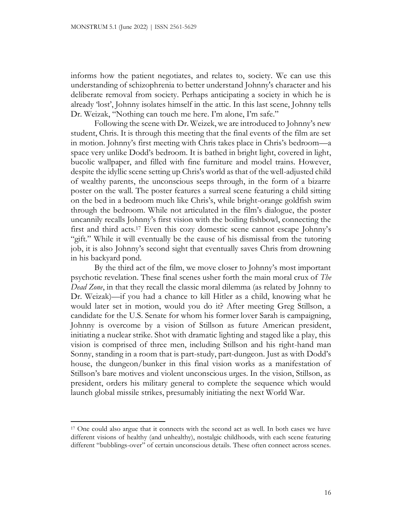informs how the patient negotiates, and relates to, society. We can use this understanding of schizophrenia to better understand Johnny's character and his deliberate removal from society. Perhaps anticipating a society in which he is already 'lost', Johnny isolates himself in the attic. In this last scene, Johnny tells Dr. Weizak, "Nothing can touch me here. I'm alone, I'm safe."

Following the scene with Dr. Weizek, we are introduced to Johnny's new student, Chris. It is through this meeting that the final events of the film are set in motion. Johnny's first meeting with Chris takes place in Chris's bedroom—a space very unlike Dodd's bedroom. It is bathed in bright light, covered in light, bucolic wallpaper, and filled with fine furniture and model trains. However, despite the idyllic scene setting up Chris's world as that of the well-adjusted child of wealthy parents, the unconscious seeps through, in the form of a bizarre poster on the wall. The poster features a surreal scene featuring a child sitting on the bed in a bedroom much like Chris's, while bright-orange goldfish swim through the bedroom. While not articulated in the film's dialogue, the poster uncannily recalls Johnny's first vision with the boiling fishbowl, connecting the first and third acts.<sup>17</sup> Even this cozy domestic scene cannot escape Johnny's "gift." While it will eventually be the cause of his dismissal from the tutoring job, it is also Johnny's second sight that eventually saves Chris from drowning in his backyard pond.

By the third act of the film, we move closer to Johnny's most important psychotic revelation. These final scenes usher forth the main moral crux of *The Dead Zone*, in that they recall the classic moral dilemma (as related by Johnny to Dr. Weizak)—if you had a chance to kill Hitler as a child, knowing what he would later set in motion, would you do it? After meeting Greg Stillson, a candidate for the U.S. Senate for whom his former lover Sarah is campaigning, Johnny is overcome by a vision of Stillson as future American president, initiating a nuclear strike. Shot with dramatic lighting and staged like a play, this vision is comprised of three men, including Stillson and his right-hand man Sonny, standing in a room that is part-study, part-dungeon. Just as with Dodd's house, the dungeon/bunker in this final vision works as a manifestation of Stillson's bare motives and violent unconscious urges. In the vision, Stillson, as president, orders his military general to complete the sequence which would launch global missile strikes, presumably initiating the next World War.

<sup>17</sup> One could also argue that it connects with the second act as well. In both cases we have different visions of healthy (and unhealthy), nostalgic childhoods, with each scene featuring different "bubblings-over" of certain unconscious details. These often connect across scenes.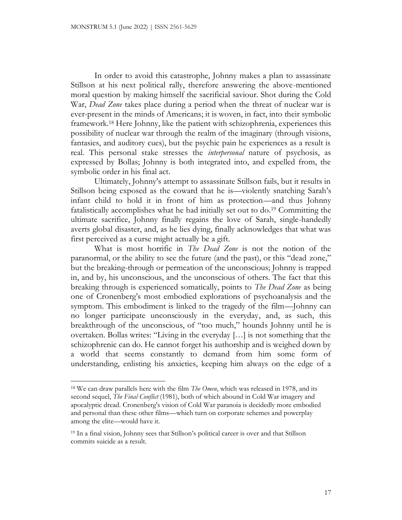In order to avoid this catastrophe, Johnny makes a plan to assassinate Stillson at his next political rally, therefore answering the above-mentioned moral question by making himself the sacrificial saviour. Shot during the Cold War, *Dead Zone* takes place during a period when the threat of nuclear war is ever-present in the minds of Americans; it is woven, in fact, into their symbolic framework.<sup>18</sup> Here Johnny, like the patient with schizophrenia, experiences this possibility of nuclear war through the realm of the imaginary (through visions, fantasies, and auditory cues), but the psychic pain he experiences as a result is real. This personal stake stresses the *interpersonal* nature of psychosis, as expressed by Bollas; Johnny is both integrated into, and expelled from, the symbolic order in his final act.

Ultimately, Johnny's attempt to assassinate Stillson fails, but it results in Stillson being exposed as the coward that he is—violently snatching Sarah's infant child to hold it in front of him as protection—and thus Johnny fatalistically accomplishes what he had initially set out to do.<sup>19</sup> Committing the ultimate sacrifice, Johnny finally regains the love of Sarah, single-handedly averts global disaster, and, as he lies dying, finally acknowledges that what was first perceived as a curse might actually be a gift.

What is most horrific in *The Dead Zone* is not the notion of the paranormal, or the ability to see the future (and the past), or this "dead zone," but the breaking-through or permeation of the unconscious; Johnny is trapped in, and by, his unconscious, and the unconscious of others. The fact that this breaking through is experienced somatically, points to *The Dead Zone* as being one of Cronenberg's most embodied explorations of psychoanalysis and the symptom. This embodiment is linked to the tragedy of the film—Johnny can no longer participate unconsciously in the everyday, and, as such, this breakthrough of the unconscious, of "too much," hounds Johnny until he is overtaken. Bollas writes: "Living in the everyday […] is not something that the schizophrenic can do. He cannot forget his authorship and is weighed down by a world that seems constantly to demand from him some form of understanding, enlisting his anxieties, keeping him always on the edge of a

<sup>18</sup> We can draw parallels here with the film *The Omen*, which was released in 1978, and its second sequel, *The Final Conflict* (1981), both of which abound in Cold War imagery and apocalyptic dread. Cronenberg's vision of Cold War paranoia is decidedly more embodied and personal than these other films—which turn on corporate schemes and powerplay among the elite—would have it.

<sup>19</sup> In a final vision, Johnny sees that Stillson's political career is over and that Stillson commits suicide as a result.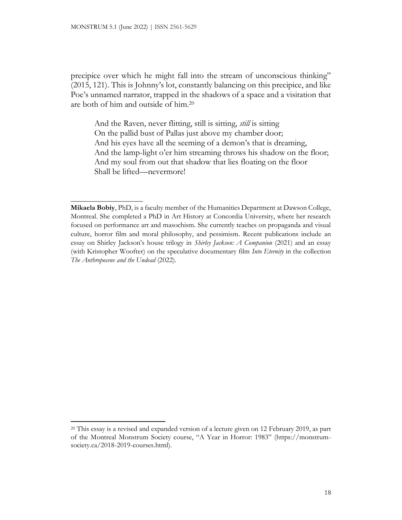$\_$ 

precipice over which he might fall into the stream of unconscious thinking" (2015, 121). This is Johnny's lot, constantly balancing on this precipice, and like Poe's unnamed narrator, trapped in the shadows of a space and a visitation that are both of him and outside of him.<sup>20</sup>

And the Raven, never flitting, still is sitting, *still* is sitting On the pallid bust of Pallas just above my chamber door; And his eyes have all the seeming of a demon's that is dreaming, And the lamp-light o'er him streaming throws his shadow on the floor; And my soul from out that shadow that lies floating on the floor Shall be lifted—nevermore!

**Mikaela Bobiy**, PhD, is a faculty member of the Humanities Department at Dawson College, Montreal. She completed a PhD in Art History at Concordia University, where her research focused on performance art and masochism. She currently teaches on propaganda and visual culture, horror film and moral philosophy, and pessimism. Recent publications include an essay on Shirley Jackson's house trilogy in *Shirley Jackson: A Companion* (2021) and an essay (with Kristopher Woofter) on the speculative documentary film *Into Eternity* in the collection *The Anthropocene and the Undead* (2022).

<sup>20</sup> This essay is a revised and expanded version of a lecture given on 12 February 2019, as part of the Montreal Monstrum Society course, "A Year in Horror: 1983" (https://monstrumsociety.ca/2018-2019-courses.html).